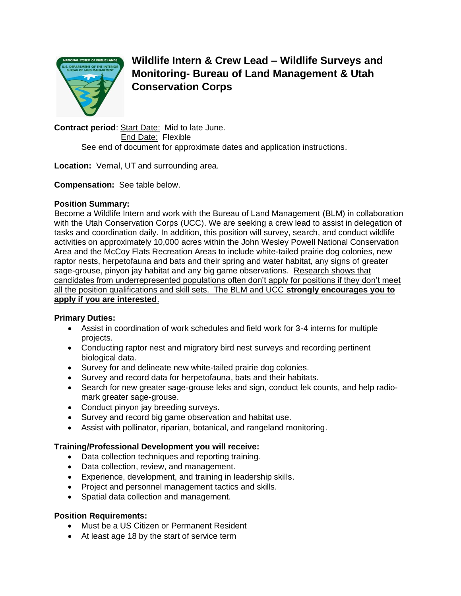

**Wildlife Intern & Crew Lead – Wildlife Surveys and Monitoring- Bureau of Land Management & Utah Conservation Corps**

**Contract period**: Start Date: Mid to late June. End Date: Flexible See end of document for approximate dates and application instructions.

**Location:** Vernal, UT and surrounding area.

**Compensation:** See table below.

### **Position Summary:**

Become a Wildlife Intern and work with the Bureau of Land Management (BLM) in collaboration with the Utah Conservation Corps (UCC). We are seeking a crew lead to assist in delegation of tasks and coordination daily. In addition, this position will survey, search, and conduct wildlife activities on approximately 10,000 acres within the John Wesley Powell National Conservation Area and the McCoy Flats Recreation Areas to include white-tailed prairie dog colonies, new raptor nests, herpetofauna and bats and their spring and water habitat, any signs of greater sage-grouse, pinyon jay habitat and any big game observations. Research shows that candidates from underrepresented populations often don't apply for positions if they don't meet all the position qualifications and skill sets. The BLM and UCC **strongly encourages you to apply if you are interested**.

# **Primary Duties:**

- Assist in coordination of work schedules and field work for 3-4 interns for multiple projects.
- Conducting raptor nest and migratory bird nest surveys and recording pertinent biological data.
- Survey for and delineate new white-tailed prairie dog colonies.
- Survey and record data for herpetofauna, bats and their habitats.
- Search for new greater sage-grouse leks and sign, conduct lek counts, and help radiomark greater sage-grouse.
- Conduct pinyon jay breeding surveys.
- Survey and record big game observation and habitat use.
- Assist with pollinator, riparian, botanical, and rangeland monitoring.

# **Training/Professional Development you will receive:**

- Data collection techniques and reporting training.
- Data collection, review, and management.
- Experience, development, and training in leadership skills.
- Project and personnel management tactics and skills.
- Spatial data collection and management.

# **Position Requirements:**

- Must be a US Citizen or Permanent Resident
- At least age 18 by the start of service term